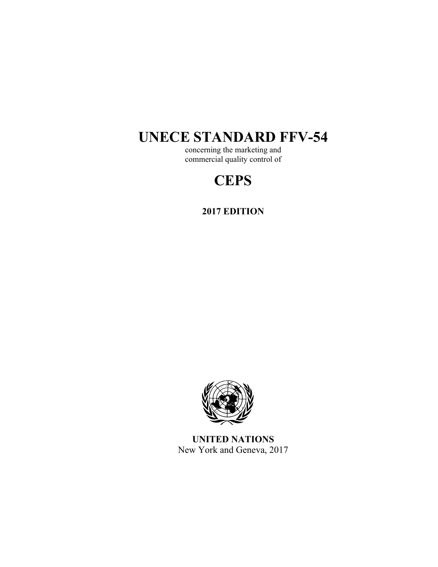# **UNECE STANDARD FFV-54**

concerning the marketing and commercial quality control of

# **CEPS**

**2017 EDITION** 



**UNITED NATIONS**  New York and Geneva, 2017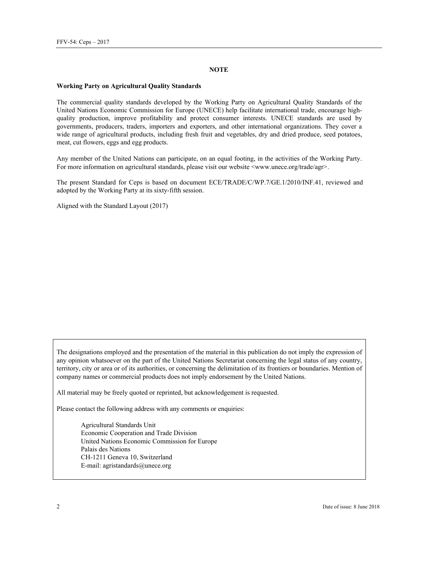#### **NOTE**

#### **Working Party on Agricultural Quality Standards**

The commercial quality standards developed by the Working Party on Agricultural Quality Standards of the United Nations Economic Commission for Europe (UNECE) help facilitate international trade, encourage highquality production, improve profitability and protect consumer interests. UNECE standards are used by governments, producers, traders, importers and exporters, and other international organizations. They cover a wide range of agricultural products, including fresh fruit and vegetables, dry and dried produce, seed potatoes, meat, cut flowers, eggs and egg products.

Any member of the United Nations can participate, on an equal footing, in the activities of the Working Party. For more information on agricultural standards, please visit our website <www.unece.org/trade/agr>.

The present Standard for Ceps is based on document ECE/TRADE/C/WP.7/GE.1/2010/INF.41, reviewed and adopted by the Working Party at its sixty-fifth session.

Aligned with the Standard Layout (2017)

The designations employed and the presentation of the material in this publication do not imply the expression of any opinion whatsoever on the part of the United Nations Secretariat concerning the legal status of any country, territory, city or area or of its authorities, or concerning the delimitation of its frontiers or boundaries. Mention of company names or commercial products does not imply endorsement by the United Nations.

All material may be freely quoted or reprinted, but acknowledgement is requested.

Please contact the following address with any comments or enquiries:

Agricultural Standards Unit Economic Cooperation and Trade Division United Nations Economic Commission for Europe Palais des Nations CH-1211 Geneva 10, Switzerland E-mail: agristandards@unece.org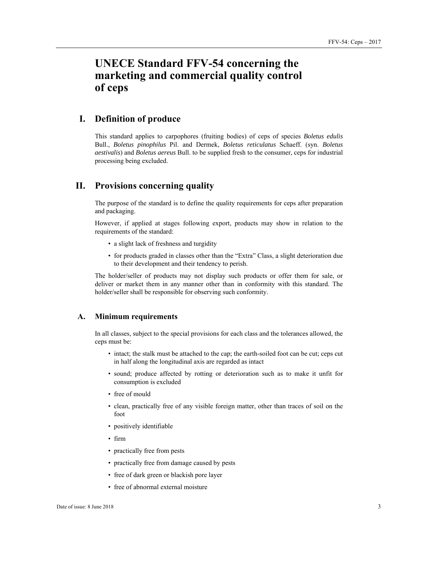# **UNECE Standard FFV-54 concerning the marketing and commercial quality control of ceps**

## **I. Definition of produce**

This standard applies to carpophores (fruiting bodies) of ceps of species *Boletus edulis* Bull., *Boletus pinophilus* Pil. and Dermek, *Boletus reticulatus* Schaeff. (syn. *Boletus aestivalis*) and *Boletus aereus* Bull. to be supplied fresh to the consumer, ceps for industrial processing being excluded.

## **II. Provisions concerning quality**

The purpose of the standard is to define the quality requirements for ceps after preparation and packaging.

However, if applied at stages following export, products may show in relation to the requirements of the standard:

- a slight lack of freshness and turgidity
- for products graded in classes other than the "Extra" Class, a slight deterioration due to their development and their tendency to perish.

The holder/seller of products may not display such products or offer them for sale, or deliver or market them in any manner other than in conformity with this standard. The holder/seller shall be responsible for observing such conformity.

#### **A. Minimum requirements**

In all classes, subject to the special provisions for each class and the tolerances allowed, the ceps must be:

- intact; the stalk must be attached to the cap; the earth-soiled foot can be cut; ceps cut in half along the longitudinal axis are regarded as intact
- sound; produce affected by rotting or deterioration such as to make it unfit for consumption is excluded
- free of mould
- clean, practically free of any visible foreign matter, other than traces of soil on the foot
- positively identifiable
- firm
- practically free from pests
- practically free from damage caused by pests
- free of dark green or blackish pore layer
- free of abnormal external moisture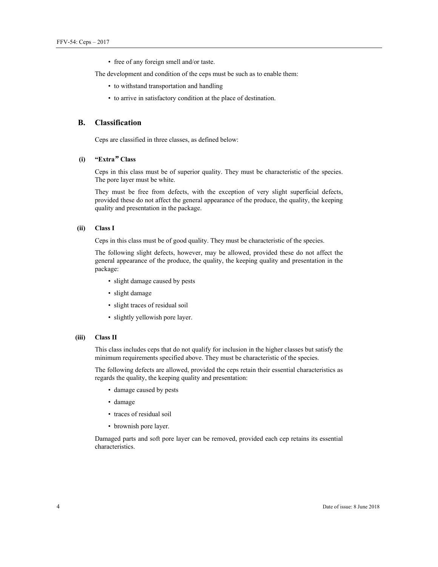• free of any foreign smell and/or taste.

The development and condition of the ceps must be such as to enable them:

- to withstand transportation and handling
- to arrive in satisfactory condition at the place of destination.

### **B. Classification**

Ceps are classified in three classes, as defined below:

#### **(i) "Extra***"* **Class**

Ceps in this class must be of superior quality. They must be characteristic of the species. The pore layer must be white.

They must be free from defects, with the exception of very slight superficial defects, provided these do not affect the general appearance of the produce, the quality, the keeping quality and presentation in the package.

#### **(ii) Class I**

Ceps in this class must be of good quality. They must be characteristic of the species.

The following slight defects, however, may be allowed, provided these do not affect the general appearance of the produce, the quality, the keeping quality and presentation in the package:

- slight damage caused by pests
- slight damage
- slight traces of residual soil
- slightly yellowish pore layer.

#### **(iii) Class II**

This class includes ceps that do not qualify for inclusion in the higher classes but satisfy the minimum requirements specified above. They must be characteristic of the species.

The following defects are allowed, provided the ceps retain their essential characteristics as regards the quality, the keeping quality and presentation:

- damage caused by pests
- damage
- traces of residual soil
- brownish pore layer.

Damaged parts and soft pore layer can be removed, provided each cep retains its essential characteristics.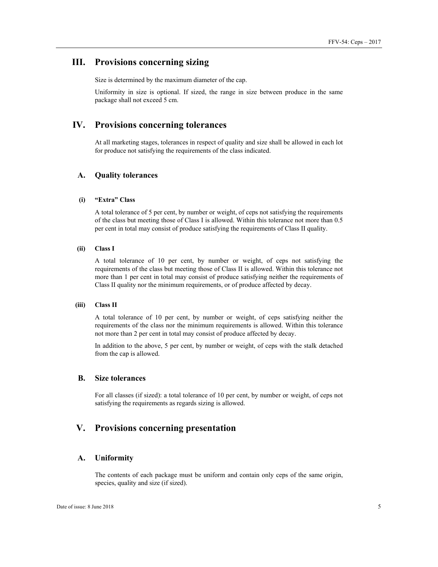## **III. Provisions concerning sizing**

Size is determined by the maximum diameter of the cap.

Uniformity in size is optional. If sized, the range in size between produce in the same package shall not exceed 5 cm.

## **IV. Provisions concerning tolerances**

At all marketing stages, tolerances in respect of quality and size shall be allowed in each lot for produce not satisfying the requirements of the class indicated.

#### **A. Quality tolerances**

#### **(i) "Extra" Class**

A total tolerance of 5 per cent, by number or weight, of ceps not satisfying the requirements of the class but meeting those of Class I is allowed. Within this tolerance not more than 0.5 per cent in total may consist of produce satisfying the requirements of Class II quality.

#### **(ii) Class I**

A total tolerance of 10 per cent, by number or weight, of ceps not satisfying the requirements of the class but meeting those of Class II is allowed. Within this tolerance not more than 1 per cent in total may consist of produce satisfying neither the requirements of Class II quality nor the minimum requirements, or of produce affected by decay.

#### **(iii) Class II**

A total tolerance of 10 per cent, by number or weight, of ceps satisfying neither the requirements of the class nor the minimum requirements is allowed. Within this tolerance not more than 2 per cent in total may consist of produce affected by decay.

In addition to the above, 5 per cent, by number or weight, of ceps with the stalk detached from the cap is allowed.

#### **B. Size tolerances**

For all classes (if sized): a total tolerance of 10 per cent, by number or weight, of ceps not satisfying the requirements as regards sizing is allowed.

## **V. Provisions concerning presentation**

#### **A. Uniformity**

The contents of each package must be uniform and contain only ceps of the same origin, species, quality and size (if sized).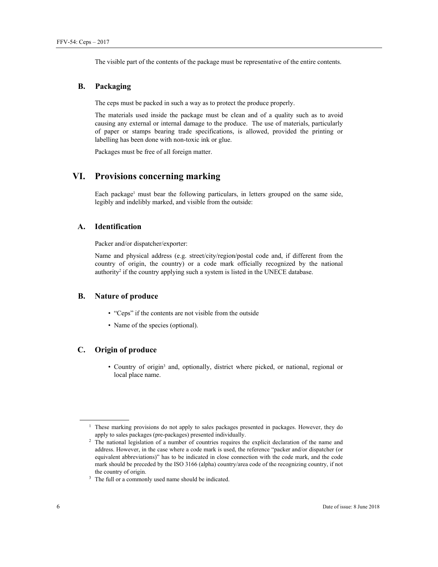The visible part of the contents of the package must be representative of the entire contents.

#### **B. Packaging**

The ceps must be packed in such a way as to protect the produce properly.

The materials used inside the package must be clean and of a quality such as to avoid causing any external or internal damage to the produce. The use of materials, particularly of paper or stamps bearing trade specifications, is allowed, provided the printing or labelling has been done with non-toxic ink or glue.

Packages must be free of all foreign matter.

## **VI. Provisions concerning marking**

Each package<sup>1</sup> must bear the following particulars, in letters grouped on the same side, legibly and indelibly marked, and visible from the outside:

#### **A. Identification**

Packer and/or dispatcher/exporter:

Name and physical address (e.g. street/city/region/postal code and, if different from the country of origin, the country) or a code mark officially recognized by the national authority<sup>2</sup> if the country applying such a system is listed in the UNECE database.

#### **B. Nature of produce**

- "Ceps" if the contents are not visible from the outside
- Name of the species (optional).

### **C. Origin of produce**

• Country of origin<sup>3</sup> and, optionally, district where picked, or national, regional or local place name.

 $\overline{a}$ 

<sup>&</sup>lt;sup>1</sup> These marking provisions do not apply to sales packages presented in packages. However, they do apply to sales packages (pre-packages) presented individually. 2 The national legislation of a number of countries requires the explicit declaration of the name and

address. However, in the case where a code mark is used, the reference "packer and/or dispatcher (or equivalent abbreviations)" has to be indicated in close connection with the code mark, and the code mark should be preceded by the ISO 3166 (alpha) country/area code of the recognizing country, if not the country of origin.<br><sup>3</sup> The full or a commonly used name should be indicated.